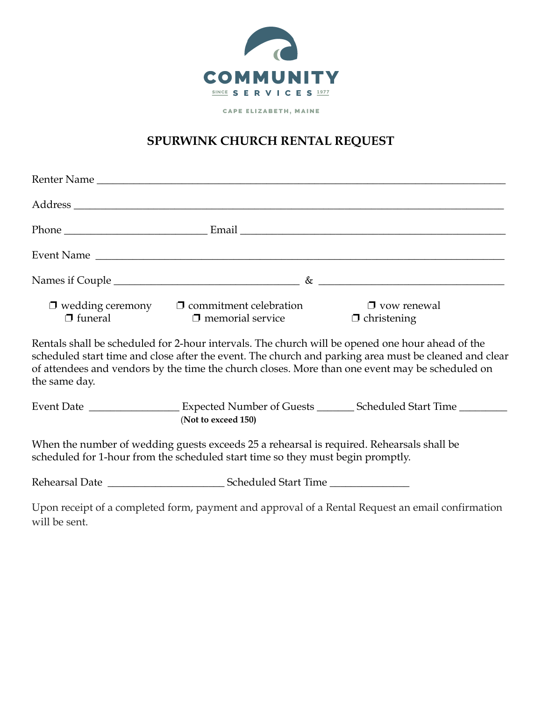

CAPE ELIZABETH, MAINE

## **SPURWINK CHURCH RENTAL REQUEST**

|                | Event Name                                                                                                                                                                   |                                                                                                                                                                                                          |
|----------------|------------------------------------------------------------------------------------------------------------------------------------------------------------------------------|----------------------------------------------------------------------------------------------------------------------------------------------------------------------------------------------------------|
|                |                                                                                                                                                                              |                                                                                                                                                                                                          |
| $\Box$ funeral | $\Box$ wedding ceremony $\Box$ commitment celebration<br>$\Box$ memorial service                                                                                             | $\Box$ yow renewal<br>$\Box$ christening                                                                                                                                                                 |
| the same day.  | Rentals shall be scheduled for 2-hour intervals. The church will be opened one hour ahead of the                                                                             | scheduled start time and close after the event. The church and parking area must be cleaned and clear<br>of attendees and vendors by the time the church closes. More than one event may be scheduled on |
|                | (Not to exceed 150)                                                                                                                                                          | Event Date _______________________ Expected Number of Guests _________ Scheduled Start Time ________                                                                                                     |
|                | When the number of wedding guests exceeds 25 a rehearsal is required. Rehearsals shall be<br>scheduled for 1-hour from the scheduled start time so they must begin promptly. |                                                                                                                                                                                                          |
|                |                                                                                                                                                                              |                                                                                                                                                                                                          |
| will be sent.  |                                                                                                                                                                              | Upon receipt of a completed form, payment and approval of a Rental Request an email confirmation                                                                                                         |